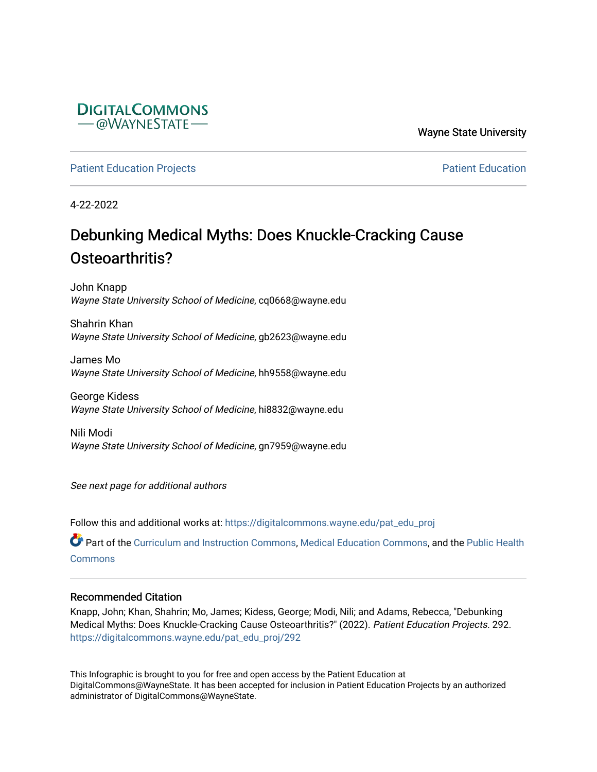

Wayne State University

[Patient Education Projects](https://digitalcommons.wayne.edu/pat_edu_proj) **Patient Education** Projects **Patient Education** 

4-22-2022

### Debunking Medical Myths: Does Knuckle-Cracking Cause Osteoarthritis?

John Knapp Wayne State University School of Medicine, cq0668@wayne.edu

Shahrin Khan Wayne State University School of Medicine, gb2623@wayne.edu

James Mo Wayne State University School of Medicine, hh9558@wayne.edu

George Kidess Wayne State University School of Medicine, hi8832@wayne.edu

Nili Modi Wayne State University School of Medicine, gn7959@wayne.edu

See next page for additional authors

Follow this and additional works at: [https://digitalcommons.wayne.edu/pat\\_edu\\_proj](https://digitalcommons.wayne.edu/pat_edu_proj?utm_source=digitalcommons.wayne.edu%2Fpat_edu_proj%2F292&utm_medium=PDF&utm_campaign=PDFCoverPages)

Part of the [Curriculum and Instruction Commons,](http://network.bepress.com/hgg/discipline/786?utm_source=digitalcommons.wayne.edu%2Fpat_edu_proj%2F292&utm_medium=PDF&utm_campaign=PDFCoverPages) [Medical Education Commons,](http://network.bepress.com/hgg/discipline/1125?utm_source=digitalcommons.wayne.edu%2Fpat_edu_proj%2F292&utm_medium=PDF&utm_campaign=PDFCoverPages) and the [Public Health](http://network.bepress.com/hgg/discipline/738?utm_source=digitalcommons.wayne.edu%2Fpat_edu_proj%2F292&utm_medium=PDF&utm_campaign=PDFCoverPages)  **[Commons](http://network.bepress.com/hgg/discipline/738?utm_source=digitalcommons.wayne.edu%2Fpat_edu_proj%2F292&utm_medium=PDF&utm_campaign=PDFCoverPages)** 

#### Recommended Citation

Knapp, John; Khan, Shahrin; Mo, James; Kidess, George; Modi, Nili; and Adams, Rebecca, "Debunking Medical Myths: Does Knuckle-Cracking Cause Osteoarthritis?" (2022). Patient Education Projects. 292. [https://digitalcommons.wayne.edu/pat\\_edu\\_proj/292](https://digitalcommons.wayne.edu/pat_edu_proj/292?utm_source=digitalcommons.wayne.edu%2Fpat_edu_proj%2F292&utm_medium=PDF&utm_campaign=PDFCoverPages)

This Infographic is brought to you for free and open access by the Patient Education at DigitalCommons@WayneState. It has been accepted for inclusion in Patient Education Projects by an authorized administrator of DigitalCommons@WayneState.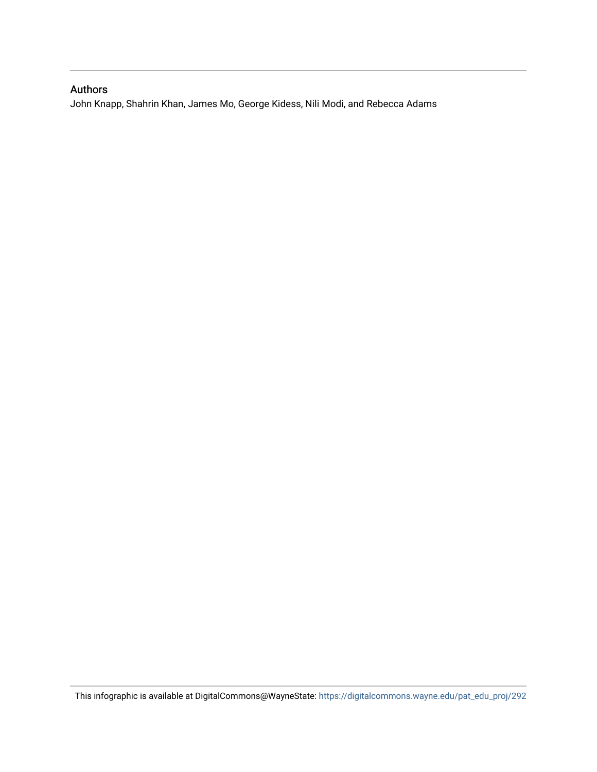#### Authors

John Knapp, Shahrin Khan, James Mo, George Kidess, Nili Modi, and Rebecca Adams

This infographic is available at DigitalCommons@WayneState: [https://digitalcommons.wayne.edu/pat\\_edu\\_proj/292](https://digitalcommons.wayne.edu/pat_edu_proj/292)